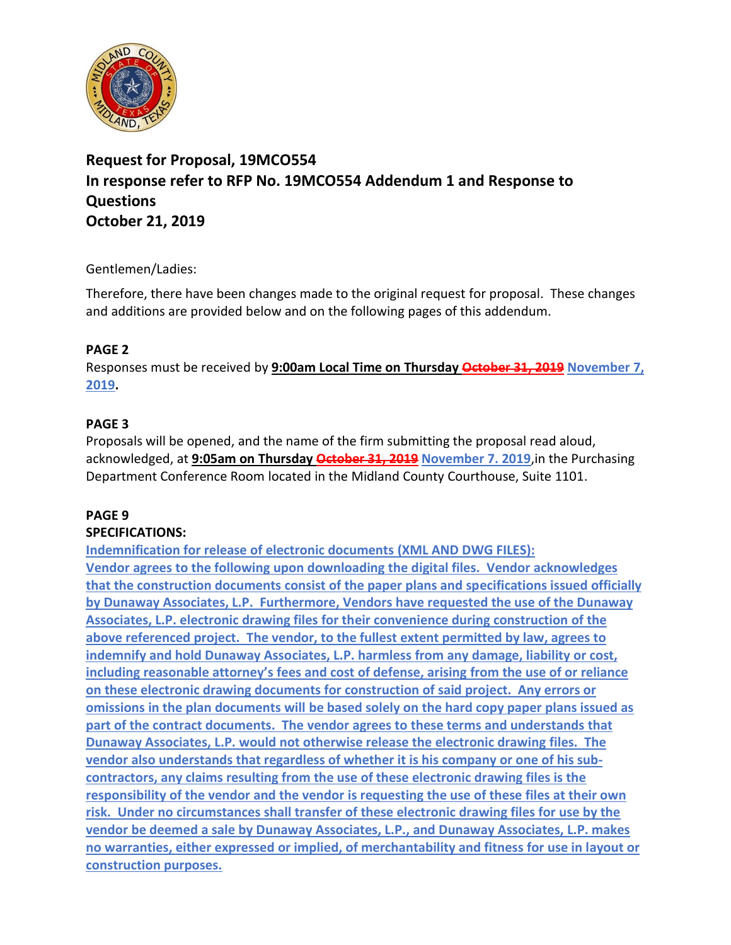

# **Request for Proposal, 19MCO554 In response refer to RFP No. 19MCO554 Addendum 1 and Response to Questions October 21, 2019**

## Gentlemen/Ladies:

Therefore, there have been changes made to the original request for proposal. These changes and additions are provided below and on the following pages of this addendum.

## **PAGE 2**

Responses must be received by **9:00am Local Time on Thursday October 31, 2019 November 7, 2019.**

## **PAGE 3**

Proposals will be opened, and the name of the firm submitting the proposal read aloud, acknowledged, at **9:05am on Thursday October 31, 2019 November 7. 2019**,in the Purchasing Department Conference Room located in the Midland County Courthouse, Suite 1101.

# **PAGE 9**

#### **SPECIFICATIONS:**

**Indemnification for release of electronic documents (XML AND DWG FILES): Vendor agrees to the following upon downloading the digital files. Vendor acknowledges that the construction documents consist of the paper plans and specifications issued officially by Dunaway Associates, L.P. Furthermore, Vendors have requested the use of the Dunaway Associates, L.P. electronic drawing files for their convenience during construction of the above referenced project. The vendor, to the fullest extent permitted by law, agrees to indemnify and hold Dunaway Associates, L.P. harmless from any damage, liability or cost, including reasonable attorney's fees and cost of defense, arising from the use of or reliance on these electronic drawing documents for construction of said project. Any errors or omissions in the plan documents will be based solely on the hard copy paper plans issued as part of the contract documents. The vendor agrees to these terms and understands that Dunaway Associates, L.P. would not otherwise release the electronic drawing files. The vendor also understands that regardless of whether it is his company or one of his subcontractors, any claims resulting from the use of these electronic drawing files is the responsibility of the vendor and the vendor is requesting the use of these files at their own risk. Under no circumstances shall transfer of these electronic drawing files for use by the vendor be deemed a sale by Dunaway Associates, L.P., and Dunaway Associates, L.P. makes no warranties, either expressed or implied, of merchantability and fitness for use in layout or construction purposes.**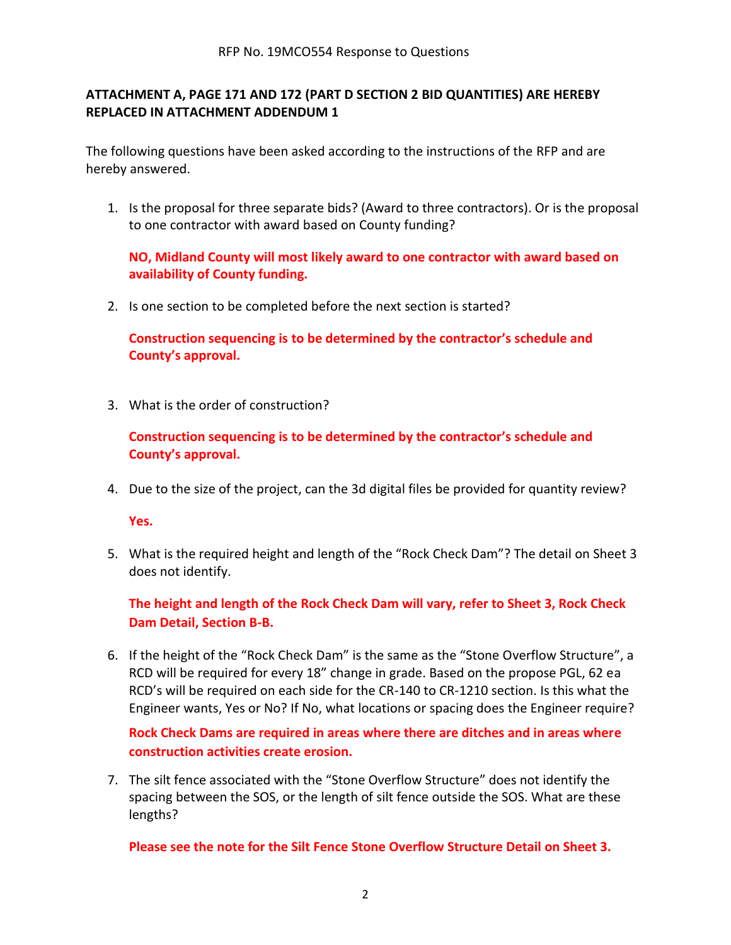#### **ATTACHMENT A, PAGE 171 AND 172 (PART D SECTION 2 BID QUANTITIES) ARE HEREBY REPLACED IN ATTACHMENT ADDENDUM 1**

The following questions have been asked according to the instructions of the RFP and are hereby answered.

1. Is the proposal for three separate bids? (Award to three contractors). Or is the proposal to one contractor with award based on County funding?

**NO, Midland County will most likely award to one contractor with award based on availability of County funding.**

2. Is one section to be completed before the next section is started?

**Construction sequencing is to be determined by the contractor's schedule and County's approval.**

3. What is the order of construction?

**Construction sequencing is to be determined by the contractor's schedule and County's approval.**

4. Due to the size of the project, can the 3d digital files be provided for quantity review?

**Yes.**

5. What is the required height and length of the "Rock Check Dam"? The detail on Sheet 3 does not identify.

**The height and length of the Rock Check Dam will vary, refer to Sheet 3, Rock Check Dam Detail, Section B-B.**

6. If the height of the "Rock Check Dam" is the same as the "Stone Overflow Structure", a RCD will be required for every 18" change in grade. Based on the propose PGL, 62 ea RCD's will be required on each side for the CR-140 to CR-1210 section. Is this what the Engineer wants, Yes or No? If No, what locations or spacing does the Engineer require?

**Rock Check Dams are required in areas where there are ditches and in areas where construction activities create erosion.**

7. The silt fence associated with the "Stone Overflow Structure" does not identify the spacing between the SOS, or the length of silt fence outside the SOS. What are these lengths?

**Please see the note for the Silt Fence Stone Overflow Structure Detail on Sheet 3.**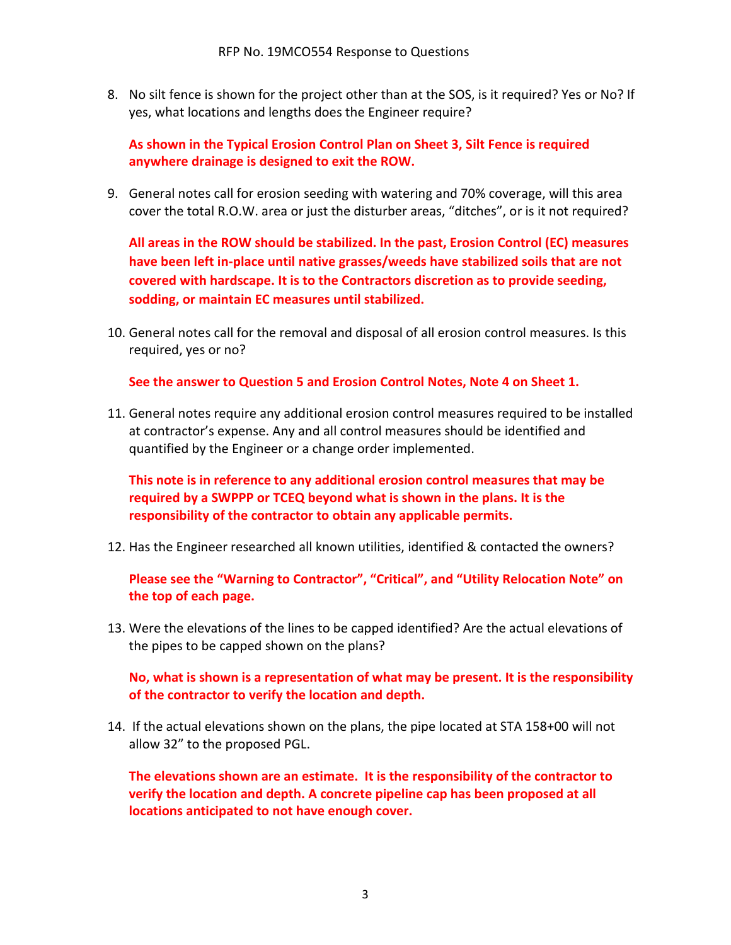8. No silt fence is shown for the project other than at the SOS, is it required? Yes or No? If yes, what locations and lengths does the Engineer require?

**As shown in the Typical Erosion Control Plan on Sheet 3, Silt Fence is required anywhere drainage is designed to exit the ROW.**

9. General notes call for erosion seeding with watering and 70% coverage, will this area cover the total R.O.W. area or just the disturber areas, "ditches", or is it not required?

**All areas in the ROW should be stabilized. In the past, Erosion Control (EC) measures have been left in-place until native grasses/weeds have stabilized soils that are not covered with hardscape. It is to the Contractors discretion as to provide seeding, sodding, or maintain EC measures until stabilized.**

10. General notes call for the removal and disposal of all erosion control measures. Is this required, yes or no?

**See the answer to Question 5 and Erosion Control Notes, Note 4 on Sheet 1.**

11. General notes require any additional erosion control measures required to be installed at contractor's expense. Any and all control measures should be identified and quantified by the Engineer or a change order implemented.

**This note is in reference to any additional erosion control measures that may be required by a SWPPP or TCEQ beyond what is shown in the plans. It is the responsibility of the contractor to obtain any applicable permits.**

12. Has the Engineer researched all known utilities, identified & contacted the owners?

**Please see the "Warning to Contractor", "Critical", and "Utility Relocation Note" on the top of each page.**

13. Were the elevations of the lines to be capped identified? Are the actual elevations of the pipes to be capped shown on the plans?

**No, what is shown is a representation of what may be present. It is the responsibility of the contractor to verify the location and depth.**

14. If the actual elevations shown on the plans, the pipe located at STA 158+00 will not allow 32" to the proposed PGL.

**The elevations shown are an estimate. It is the responsibility of the contractor to verify the location and depth. A concrete pipeline cap has been proposed at all locations anticipated to not have enough cover.**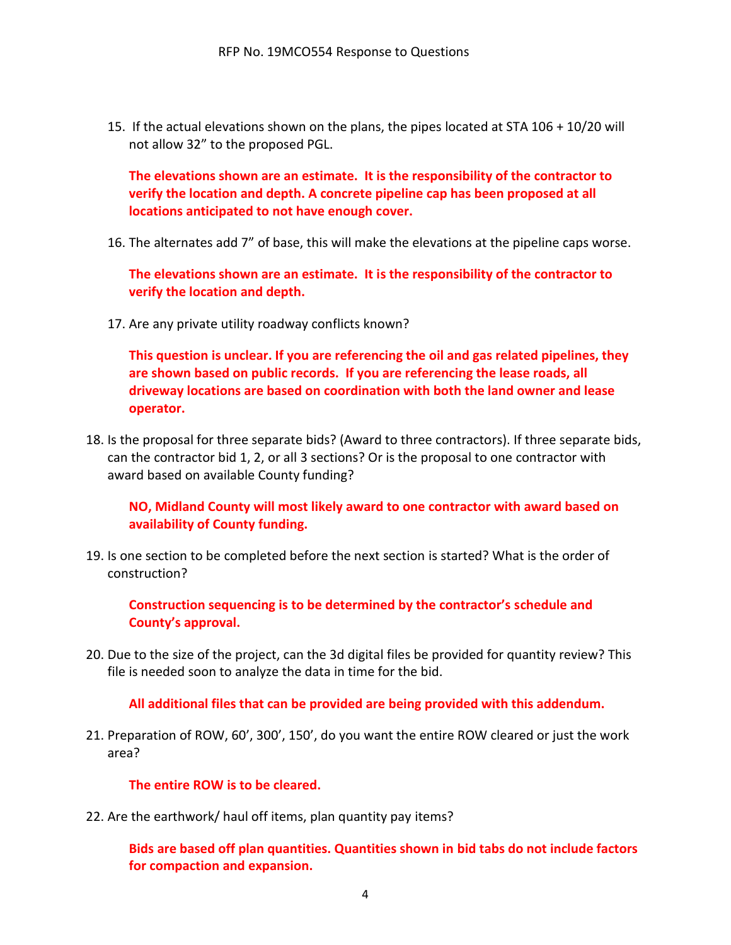15. If the actual elevations shown on the plans, the pipes located at STA 106 + 10/20 will not allow 32" to the proposed PGL.

**The elevations shown are an estimate. It is the responsibility of the contractor to verify the location and depth. A concrete pipeline cap has been proposed at all locations anticipated to not have enough cover.**

16. The alternates add 7" of base, this will make the elevations at the pipeline caps worse.

**The elevations shown are an estimate. It is the responsibility of the contractor to verify the location and depth.**

17. Are any private utility roadway conflicts known?

**This question is unclear. If you are referencing the oil and gas related pipelines, they are shown based on public records. If you are referencing the lease roads, all driveway locations are based on coordination with both the land owner and lease operator.**

18. Is the proposal for three separate bids? (Award to three contractors). If three separate bids, can the contractor bid 1, 2, or all 3 sections? Or is the proposal to one contractor with award based on available County funding?

**NO, Midland County will most likely award to one contractor with award based on availability of County funding.**

19. Is one section to be completed before the next section is started? What is the order of construction?

**Construction sequencing is to be determined by the contractor's schedule and County's approval.**

20. Due to the size of the project, can the 3d digital files be provided for quantity review? This file is needed soon to analyze the data in time for the bid.

**All additional files that can be provided are being provided with this addendum.**

21. Preparation of ROW, 60', 300', 150', do you want the entire ROW cleared or just the work area?

**The entire ROW is to be cleared.**

22. Are the earthwork/ haul off items, plan quantity pay items?

**Bids are based off plan quantities. Quantities shown in bid tabs do not include factors for compaction and expansion.**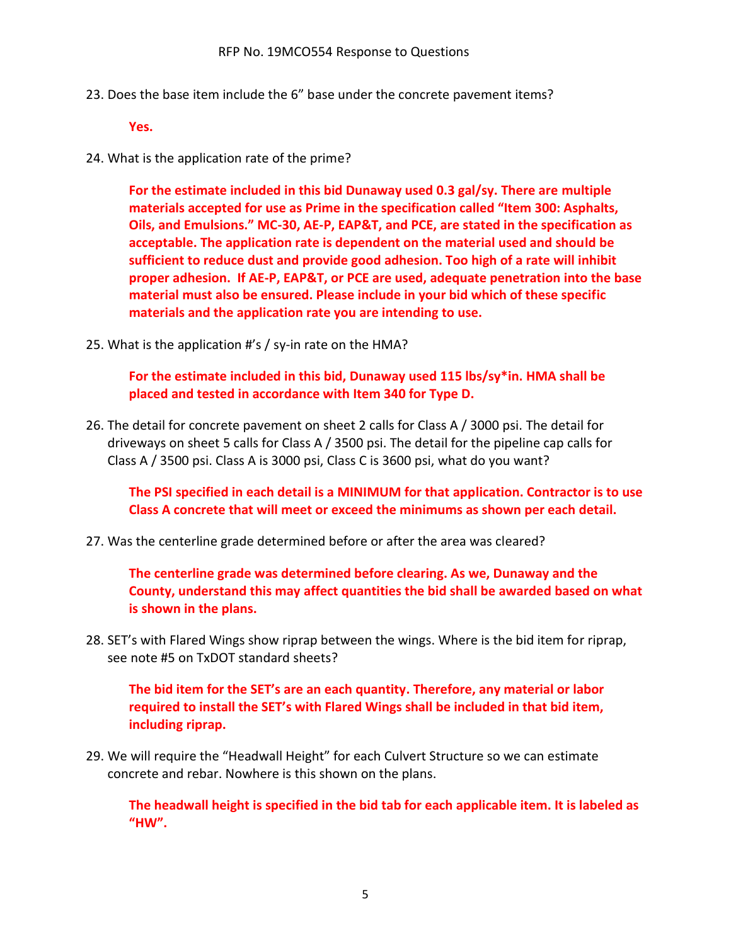23. Does the base item include the 6" base under the concrete pavement items?

**Yes.**

24. What is the application rate of the prime?

**For the estimate included in this bid Dunaway used 0.3 gal/sy. There are multiple materials accepted for use as Prime in the specification called "Item 300: Asphalts, Oils, and Emulsions." MC-30, AE-P, EAP&T, and PCE, are stated in the specification as acceptable. The application rate is dependent on the material used and should be sufficient to reduce dust and provide good adhesion. Too high of a rate will inhibit proper adhesion. If AE-P, EAP&T, or PCE are used, adequate penetration into the base material must also be ensured. Please include in your bid which of these specific materials and the application rate you are intending to use.**

25. What is the application #'s / sy-in rate on the HMA?

**For the estimate included in this bid, Dunaway used 115 lbs/sy\*in. HMA shall be placed and tested in accordance with Item 340 for Type D.**

26. The detail for concrete pavement on sheet 2 calls for Class A / 3000 psi. The detail for driveways on sheet 5 calls for Class A / 3500 psi. The detail for the pipeline cap calls for Class A / 3500 psi. Class A is 3000 psi, Class C is 3600 psi, what do you want?

**The PSI specified in each detail is a MINIMUM for that application. Contractor is to use Class A concrete that will meet or exceed the minimums as shown per each detail.**

27. Was the centerline grade determined before or after the area was cleared?

**The centerline grade was determined before clearing. As we, Dunaway and the County, understand this may affect quantities the bid shall be awarded based on what is shown in the plans.**

28. SET's with Flared Wings show riprap between the wings. Where is the bid item for riprap, see note #5 on TxDOT standard sheets?

**The bid item for the SET's are an each quantity. Therefore, any material or labor required to install the SET's with Flared Wings shall be included in that bid item, including riprap.**

29. We will require the "Headwall Height" for each Culvert Structure so we can estimate concrete and rebar. Nowhere is this shown on the plans.

**The headwall height is specified in the bid tab for each applicable item. It is labeled as "HW".**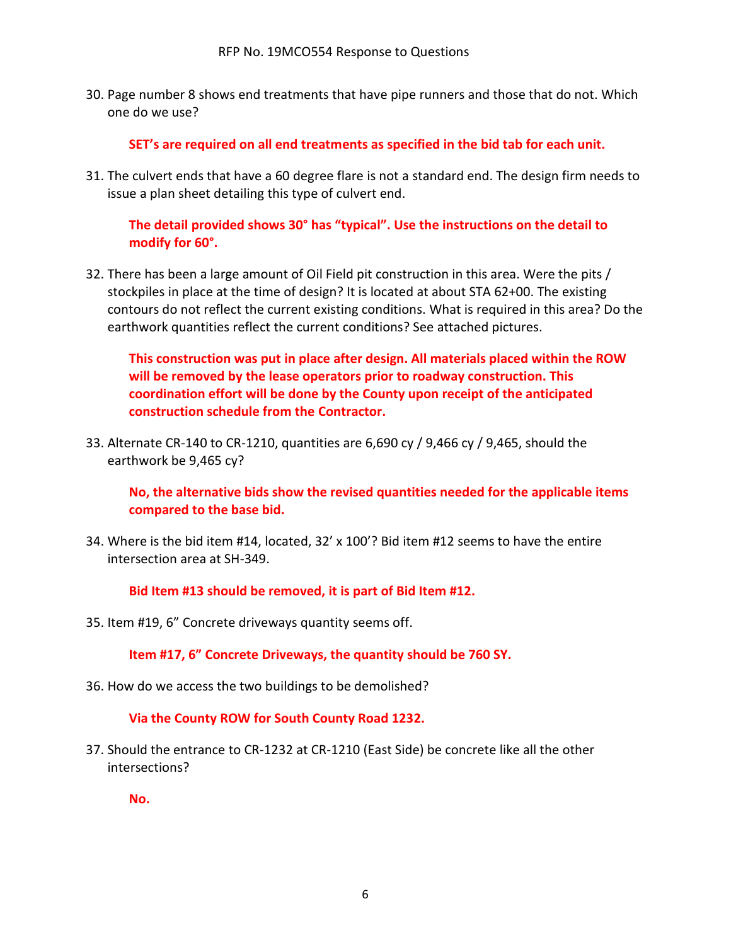30. Page number 8 shows end treatments that have pipe runners and those that do not. Which one do we use?

**SET's are required on all end treatments as specified in the bid tab for each unit.**

31. The culvert ends that have a 60 degree flare is not a standard end. The design firm needs to issue a plan sheet detailing this type of culvert end.

**The detail provided shows 30° has "typical". Use the instructions on the detail to modify for 60°.**

32. There has been a large amount of Oil Field pit construction in this area. Were the pits / stockpiles in place at the time of design? It is located at about STA 62+00. The existing contours do not reflect the current existing conditions. What is required in this area? Do the earthwork quantities reflect the current conditions? See attached pictures.

**This construction was put in place after design. All materials placed within the ROW will be removed by the lease operators prior to roadway construction. This coordination effort will be done by the County upon receipt of the anticipated construction schedule from the Contractor.** 

33. Alternate CR-140 to CR-1210, quantities are 6,690 cy / 9,466 cy / 9,465, should the earthwork be 9,465 cy?

**No, the alternative bids show the revised quantities needed for the applicable items compared to the base bid.**

34. Where is the bid item #14, located, 32' x 100'? Bid item #12 seems to have the entire intersection area at SH-349.

**Bid Item #13 should be removed, it is part of Bid Item #12.**

35. Item #19, 6" Concrete driveways quantity seems off.

**Item #17, 6" Concrete Driveways, the quantity should be 760 SY.**

36. How do we access the two buildings to be demolished?

**Via the County ROW for South County Road 1232.**

37. Should the entrance to CR-1232 at CR-1210 (East Side) be concrete like all the other intersections?

**No.**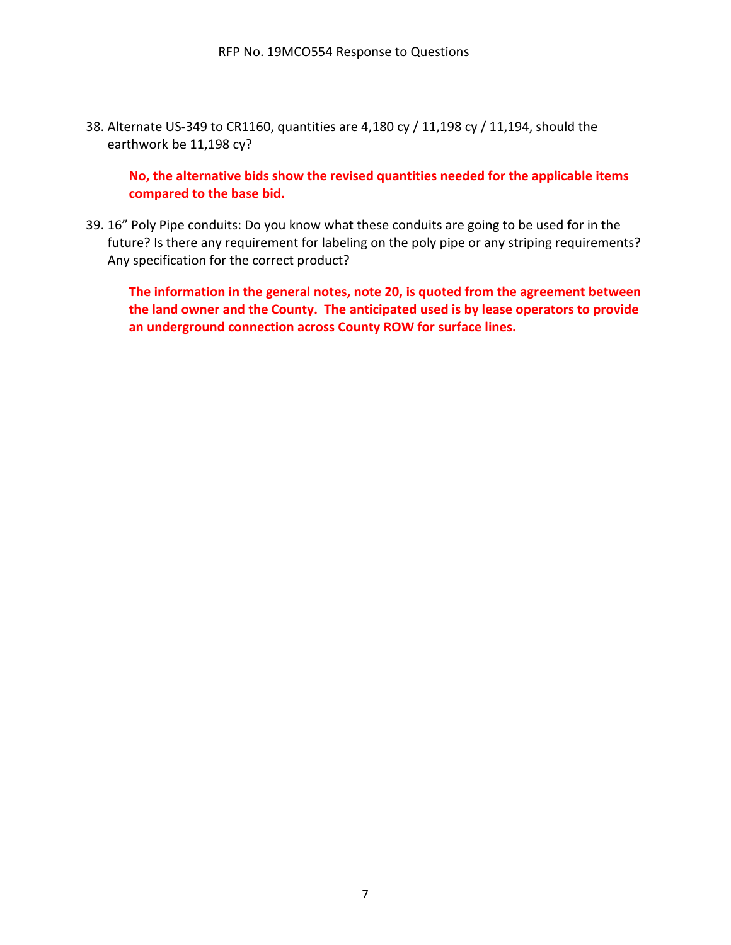38. Alternate US-349 to CR1160, quantities are 4,180 cy / 11,198 cy / 11,194, should the earthwork be 11,198 cy?

**No, the alternative bids show the revised quantities needed for the applicable items compared to the base bid.**

39. 16" Poly Pipe conduits: Do you know what these conduits are going to be used for in the future? Is there any requirement for labeling on the poly pipe or any striping requirements? Any specification for the correct product?

**The information in the general notes, note 20, is quoted from the agreement between the land owner and the County. The anticipated used is by lease operators to provide an underground connection across County ROW for surface lines.**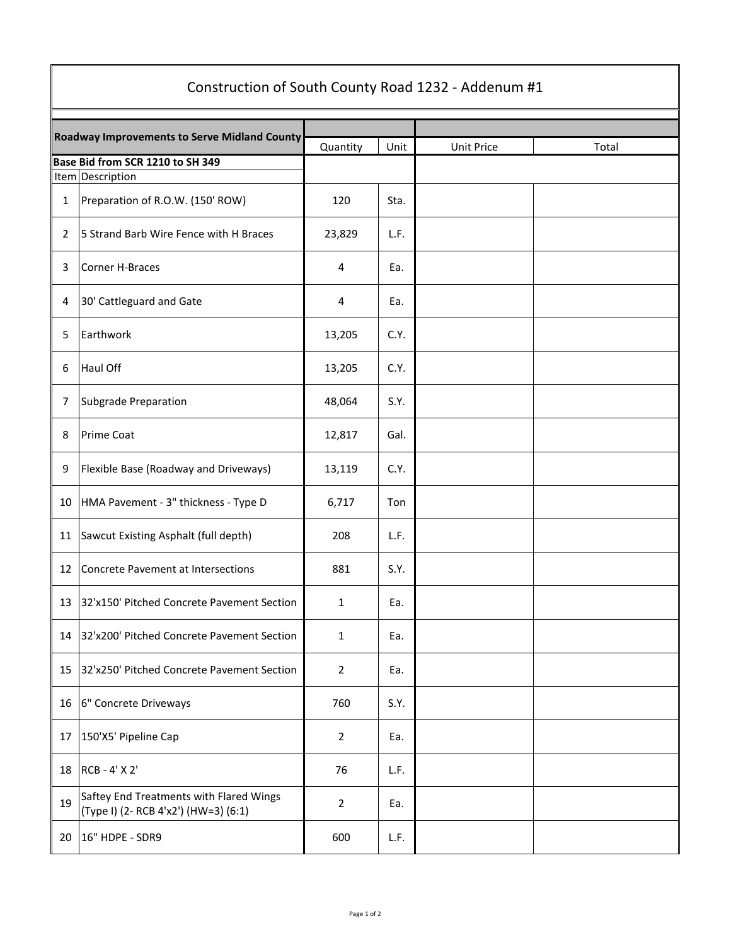| Construction of South County Road 1232 - Addenum #1 |                                                                                 |                |      |            |       |  |  |  |
|-----------------------------------------------------|---------------------------------------------------------------------------------|----------------|------|------------|-------|--|--|--|
| <b>Roadway Improvements to Serve Midland County</b> |                                                                                 | Quantity       | Unit | Unit Price | Total |  |  |  |
| Base Bid from SCR 1210 to SH 349                    |                                                                                 |                |      |            |       |  |  |  |
|                                                     | Item Description                                                                |                |      |            |       |  |  |  |
| 1                                                   | Preparation of R.O.W. (150' ROW)                                                | 120            | Sta. |            |       |  |  |  |
| 2                                                   | 5 Strand Barb Wire Fence with H Braces                                          | 23,829         | L.F. |            |       |  |  |  |
| 3                                                   | Corner H-Braces                                                                 | 4              | Ea.  |            |       |  |  |  |
| 4                                                   | 30' Cattleguard and Gate                                                        | 4              | Ea.  |            |       |  |  |  |
| 5                                                   | Earthwork                                                                       | 13,205         | C.Y. |            |       |  |  |  |
| 6                                                   | Haul Off                                                                        | 13,205         | C.Y. |            |       |  |  |  |
| 7                                                   | Subgrade Preparation                                                            | 48,064         | S.Y. |            |       |  |  |  |
| 8                                                   | <b>Prime Coat</b>                                                               | 12,817         | Gal. |            |       |  |  |  |
| 9                                                   | Flexible Base (Roadway and Driveways)                                           | 13,119         | C.Y. |            |       |  |  |  |
| 10                                                  | HMA Pavement - 3" thickness - Type D                                            | 6,717          | Ton  |            |       |  |  |  |
| 11                                                  | Sawcut Existing Asphalt (full depth)                                            | 208            | L.F. |            |       |  |  |  |
| 12                                                  | Concrete Pavement at Intersections                                              | 881            | S.Y. |            |       |  |  |  |
| 13                                                  | 32'x150' Pitched Concrete Pavement Section                                      | $\mathbf{1}$   | Ea.  |            |       |  |  |  |
| 14                                                  | 32'x200' Pitched Concrete Pavement Section                                      | $\mathbf{1}$   | Ea.  |            |       |  |  |  |
| 15                                                  | 32'x250' Pitched Concrete Pavement Section                                      | $\overline{2}$ | Ea.  |            |       |  |  |  |
| 16                                                  | 6" Concrete Driveways                                                           | 760            | S.Y. |            |       |  |  |  |
| 17                                                  | 150'X5' Pipeline Cap                                                            | $\overline{2}$ | Ea.  |            |       |  |  |  |
| 18                                                  | RCB - 4' X 2'                                                                   | 76             | L.F. |            |       |  |  |  |
| 19                                                  | Saftey End Treatments with Flared Wings<br>(Type I) (2- RCB 4'x2') (HW=3) (6:1) | $\overline{2}$ | Ea.  |            |       |  |  |  |
| 20                                                  | 16" HDPE - SDR9                                                                 | 600            | L.F. |            |       |  |  |  |